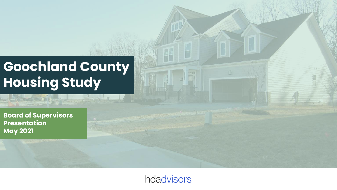## **Goochland County Housing Study**

**Board of Supervisors Presentation May 2021**

hdadvisors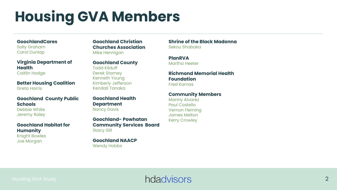# **Housing GVA Members**

#### **GoochlandCares**

Sally Graham Carol Dunlap

**Virginia Department of Health** Caitlin Hodge

**Better Housing Coalition** Greta Harris

#### **Goochland County Public Schools**

Debbie White Jeremy Raley

#### **Goochland Habitat for Humanity**

Knight Bowles Joe Morgan

**Goochland Christian Churches Association**  Mike Hennigan

#### **Goochland County**

Todd Kilduff Derek Stamey Kenneth Young Kimberly Jefferson Kendall Tanaka

**Goochland Health Department** Nancy Davis

**Goochland- Powhatan Community Services Board** Stacy Gill

**Goochland NAACP** Wendy Hobbs

**Shrine of the Black Madonna**  Sekou Shabaka

**PlanRVA** Martha Heeter

#### **Richmond Memorial Health Foundation**

Fred Karnas

#### **Community Members**

Manny Alvarez Paul Costello Vernon Fleming James Melton Kerry Crowley

### Housing GVA Study **2 Housing GVA Study** 2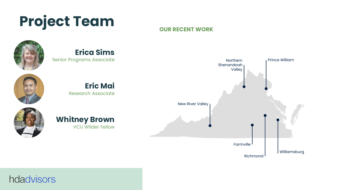# **Project Team** *OUR RECENT WORK*



### **Erica Sims**

Senior Programs Associate





#### hdadvisors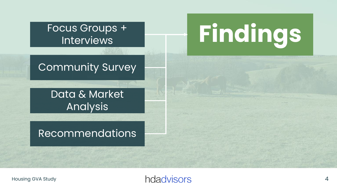## Focus Groups + Interviews

## Community Survey

## Data & Market Analysis

## Recommendations

# **Findings**

## Housing GVA Study **4.1 Manual Study 1.1 Manual Study 1.1 Manual Study 1.1 Manual Study 1.1 Manual Study 1.1 Manual Study 1.1 Manual Study 1.1 Manual Study 1.1 Manual Study 1.1 Manual Study 1.1 Manual Study 1.1 Manual Study**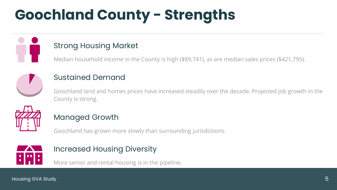# **Goochland County - Strengths**



#### Strong Housing Market

Median household income in the County is high (\$89,741), as are median sales prices (\$421,795).



#### Sustained Demand

Goochland land and homes prices have increased steadily over the decade. Projected job growth in the County is strong.



#### Managed Growth

Goochland has grown more slowly than surrounding jurisdictions.



#### Increased Housing Diversity

More senior and rental housing is in the pipeline.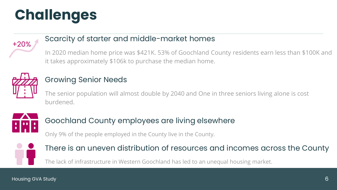# **Challenges**



#### Scarcity of starter and middle-market homes

In 2020 median home price was \$421K. 53% of Goochland County residents earn less than \$100K and it takes approximately \$106k to purchase the median home.



#### Growing Senior Needs

The senior population will almost double by 2040 and One in three seniors living alone is cost burdened.



#### Goochland County employees are living elsewhere

Only 9% of the people employed in the County live in the County.



#### There is an uneven distribution of resources and incomes across the County

The lack of infrastructure in Western Goochland has led to an unequal housing market.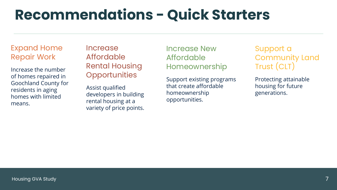## **Recommendations - Quick Starters**

#### Expand Home Repair Work

Increase the number of homes repaired in Goochland County for residents in aging homes with limited means.

**Increase** Affordable Rental Housing **Opportunities** 

Assist qualified developers in building rental housing at a variety of price points. Increase New Affordable Homeownership

Support existing programs that create affordable homeownership opportunities.

Support a Community Land Trust (CLT)

Protecting attainable housing for future generations.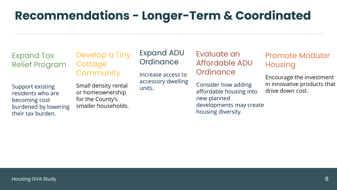## **Recommendations - Longer-Term & Coordinated**

Expand Tax Relief Program Develop a Tiny **Cottage Community** 

Support existing residents who are becoming cost burdened by lowering their tax burden.

Small density rental or homeownership for the County's smaller households. Expand ADU **Ordinance** 

Increase access to accessory dwelling units.

Evaluate an Affordable ADU **Ordinance** 

Consider how adding affordable housing into new planned developments may create housing diversity.

#### Promote Modular **Housing**

Encourage the investment in innovative products that drive down cost.